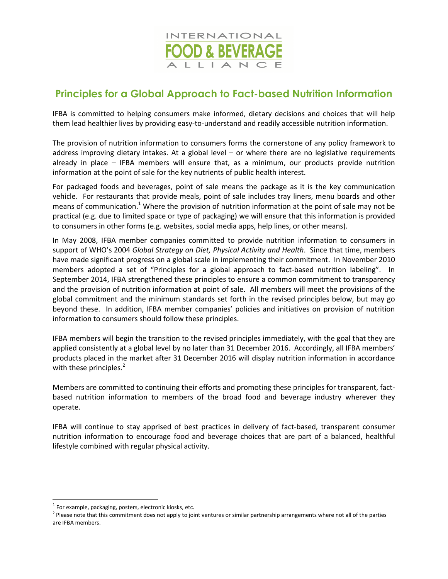

## **Principles for a Global Approach to Fact-based Nutrition Information**

IFBA is committed to helping consumers make informed, dietary decisions and choices that will help them lead healthier lives by providing easy-to-understand and readily accessible nutrition information.

The provision of nutrition information to consumers forms the cornerstone of any policy framework to address improving dietary intakes. At a global level – or where there are no legislative requirements already in place – IFBA members will ensure that, as a minimum, our products provide nutrition information at the point of sale for the key nutrients of public health interest.

For packaged foods and beverages, point of sale means the package as it is the key communication vehicle. For restaurants that provide meals, point of sale includes tray liners, menu boards and other means of communication.<sup>1</sup> Where the provision of nutrition information at the point of sale may not be practical (e.g. due to limited space or type of packaging) we will ensure that this information is provided to consumers in other forms (e.g. websites, social media apps, help lines, or other means).

In May 2008, IFBA member companies committed to provide nutrition information to consumers in support of WHO's 2004 *Global Strategy on Diet, Physical Activity and Health*. Since that time, members have made significant progress on a global scale in implementing their commitment. In November 2010 members adopted a set of "Principles for a global approach to fact-based nutrition labeling". In September 2014, IFBA strengthened these principles to ensure a common commitment to transparency and the provision of nutrition information at point of sale. All members will meet the provisions of the global commitment and the minimum standards set forth in the revised principles below, but may go beyond these. In addition, IFBA member companies' policies and initiatives on provision of nutrition information to consumers should follow these principles.

IFBA members will begin the transition to the revised principles immediately, with the goal that they are applied consistently at a global level by no later than 31 December 2016. Accordingly, all IFBA members' products placed in the market after 31 December 2016 will display nutrition information in accordance with these principles. $2^2$ 

Members are committed to continuing their efforts and promoting these principles for transparent, factbased nutrition information to members of the broad food and beverage industry wherever they operate.

IFBA will continue to stay apprised of best practices in delivery of fact-based, transparent consumer nutrition information to encourage food and beverage choices that are part of a balanced, healthful lifestyle combined with regular physical activity.

 $\overline{a}$ 

 $1$  For example, packaging, posters, electronic kiosks, etc.

<sup>&</sup>lt;sup>2</sup> Please note that this commitment does not apply to joint ventures or similar partnership arrangements where not all of the parties are IFBA members.